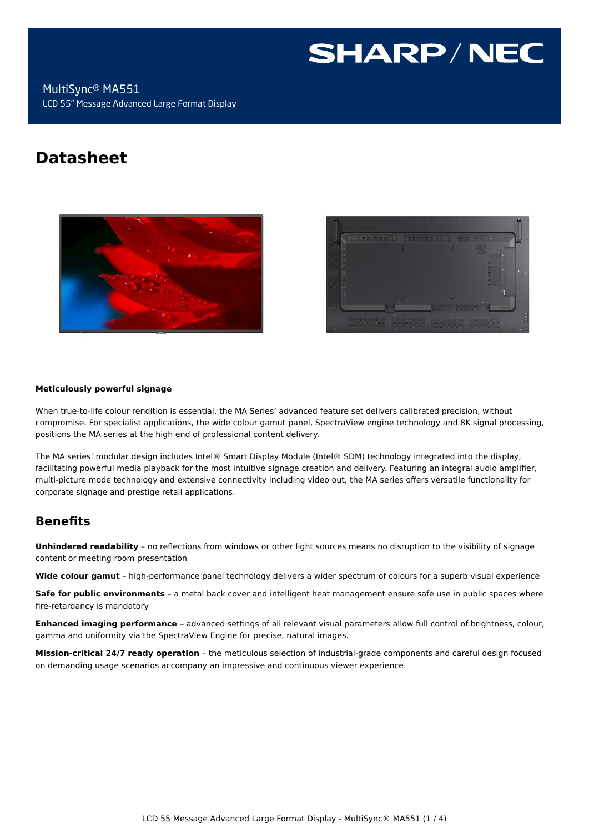# **SHARP/NEC**

MultiSync® MA551 LCD 55" Message Advanced Large Format Display

# **Datasheet**





#### **Meticulously powerful signage**

When true-to-life colour rendition is essential, the MA Series' advanced feature set delivers calibrated precision, without compromise. For specialist applications, the wide colour gamut panel, SpectraView engine technology and 8K signal processing, positions the MA series at the high end of professional content delivery.

The MA series' modular design includes Intel® Smart Display Module (Intel® SDM) technology integrated into the display, facilitating powerful media playback for the most intuitive signage creation and delivery. Featuring an integral audio amplifier, multi-picture mode technology and extensive connectivity including video out, the MA series offers versatile functionality for corporate signage and prestige retail applications.

# **Benefits**

**Unhindered readability** – no reflections from windows or other light sources means no disruption to the visibility of signage content or meeting room presentation

**Wide colour gamut** – high-performance panel technology delivers a wider spectrum of colours for a superb visual experience

**Safe for public environments** – a metal back cover and intelligent heat management ensure safe use in public spaces where fire-retardancy is mandatory

**Enhanced imaging performance** – advanced settings of all relevant visual parameters allow full control of brightness, colour, gamma and uniformity via the SpectraView Engine for precise, natural images.

**Mission-critical 24/7 ready operation** – the meticulous selection of industrial-grade components and careful design focused on demanding usage scenarios accompany an impressive and continuous viewer experience.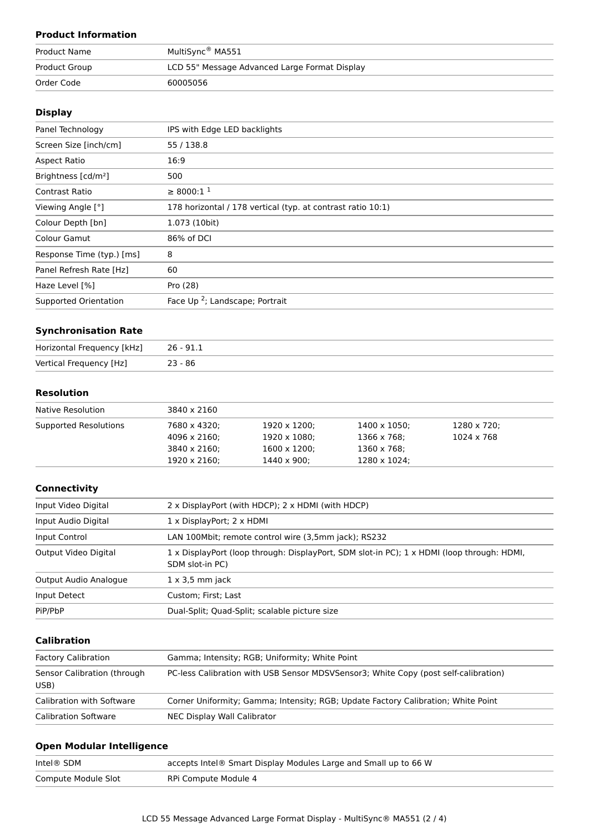# **Product Information**

| <b>Product Name</b> | MultiSync® MA551                              |
|---------------------|-----------------------------------------------|
| Product Group       | LCD 55" Message Advanced Large Format Display |
| Order Code          | 60005056                                      |

#### **Display**

| Panel Technology                | IPS with Edge LED backlights                                |
|---------------------------------|-------------------------------------------------------------|
| Screen Size [inch/cm]           | 55 / 138.8                                                  |
| Aspect Ratio                    | 16:9                                                        |
| Brightness [cd/m <sup>2</sup> ] | 500                                                         |
| <b>Contrast Ratio</b>           | $\geq 8000:1^1$                                             |
| Viewing Angle [°]               | 178 horizontal / 178 vertical (typ. at contrast ratio 10:1) |
| Colour Depth [bn]               | 1.073 (10bit)                                               |
| Colour Gamut                    | 86% of DCI                                                  |
| Response Time (typ.) [ms]       | 8                                                           |
| Panel Refresh Rate [Hz]         | 60                                                          |
| Haze Level [%]                  | Pro (28)                                                    |
| Supported Orientation           | Face Up <sup>2</sup> ; Landscape; Portrait                  |

#### **Synchronisation Rate**

| Horizontal Frequency [kHz] | $26 - 91.1$ |
|----------------------------|-------------|
| Vertical Frequency [Hz]    | 23 - 86     |

#### **Resolution**

| Native Resolution     | 3840 x 2160  |              |              |                   |  |
|-----------------------|--------------|--------------|--------------|-------------------|--|
| Supported Resolutions | 7680 x 4320; | 1920 x 1200; | 1400 x 1050; | 1280 x 720;       |  |
|                       | 4096 x 2160; | 1920 x 1080; | 1366 x 768;  | $1024 \times 768$ |  |
|                       | 3840 x 2160; | 1600 x 1200; | 1360 x 768;  |                   |  |
|                       | 1920 x 2160; | 1440 x 900;  | 1280 x 1024; |                   |  |

#### **Connectivity**

| Input Video Digital   | 2 x DisplayPort (with HDCP); 2 x HDMI (with HDCP)                                                             |  |
|-----------------------|---------------------------------------------------------------------------------------------------------------|--|
| Input Audio Digital   | 1 x DisplayPort; 2 x HDMI                                                                                     |  |
| Input Control         | LAN 100Mbit; remote control wire (3,5mm jack); RS232                                                          |  |
| Output Video Digital  | 1 x DisplayPort (loop through: DisplayPort, SDM slot-in PC); 1 x HDMI (loop through: HDMI,<br>SDM slot-in PC) |  |
| Output Audio Analogue | $1 \times 3.5$ mm jack                                                                                        |  |
| Input Detect          | Custom; First; Last                                                                                           |  |
| PiP/PbP               | Dual-Split; Quad-Split; scalable picture size                                                                 |  |

# **Calibration**

| <b>Factory Calibration</b>          | Gamma; Intensity; RGB; Uniformity; White Point                                      |
|-------------------------------------|-------------------------------------------------------------------------------------|
| Sensor Calibration (through<br>USB) | PC-less Calibration with USB Sensor MDSVSensor3; White Copy (post self-calibration) |
| Calibration with Software           | Corner Uniformity; Gamma; Intensity; RGB; Update Factory Calibration; White Point   |
| <b>Calibration Software</b>         | NEC Display Wall Calibrator                                                         |

# **Open Modular Intelligence**

| Intel® SDM          | accepts Intel® Smart Display Modules Large and Small up to 66 W |
|---------------------|-----------------------------------------------------------------|
| Compute Module Slot | RPi Compute Module 4                                            |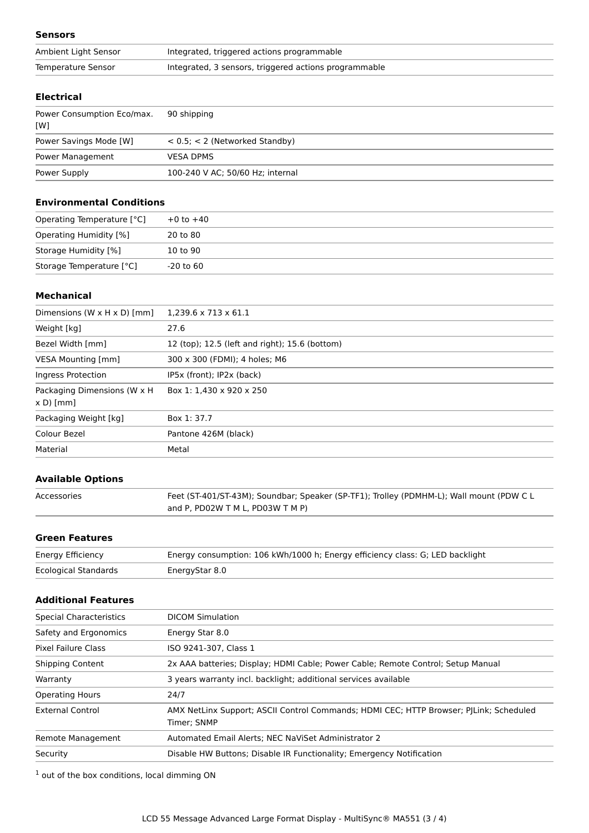#### **Sensors**

| Ambient Light Sensor | Integrated, triggered actions programmable            |
|----------------------|-------------------------------------------------------|
| Temperature Sensor   | Integrated, 3 sensors, triggered actions programmable |

#### **Electrical**

| Power Consumption Eco/max.<br>[W] | 90 shipping                         |
|-----------------------------------|-------------------------------------|
| Power Savings Mode [W]            | $< 0.5$ ; $< 2$ (Networked Standby) |
| Power Management                  | <b>VESA DPMS</b>                    |
| Power Supply                      | 100-240 V AC; 50/60 Hz; internal    |

#### **Environmental Conditions**

| Operating Temperature [°C] | $+0$ to $+40$ |
|----------------------------|---------------|
| Operating Humidity [%]     | 20 to 80      |
| Storage Humidity [%]       | 10 to 90      |
| Storage Temperature [°C]   | -20 to 60     |

#### **Mechanical**

| Dimensions (W $\times$ H $\times$ D) [mm]  | $1,239.6 \times 713 \times 61.1$               |  |
|--------------------------------------------|------------------------------------------------|--|
| Weight [kg]                                | 27.6                                           |  |
| Bezel Width [mm]                           | 12 (top); 12.5 (left and right); 15.6 (bottom) |  |
| <b>VESA Mounting [mm]</b>                  | 300 x 300 (FDMI); 4 holes; M6                  |  |
| Ingress Protection                         | IP5x (front); IP2x (back)                      |  |
| Packaging Dimensions (W x H)<br>$x D$ [mm] | Box 1: 1,430 x 920 x 250                       |  |
| Packaging Weight [kg]                      | Box 1: 37.7                                    |  |
| Colour Bezel                               | Pantone 426M (black)                           |  |
| Material                                   | Metal                                          |  |

## **Available Options**

| Accessories | Feet (ST-401/ST-43M); Soundbar; Speaker (SP-TF1); Trolley (PDMHM-L); Wall mount (PDW C L |
|-------------|------------------------------------------------------------------------------------------|
|             | and P. PD02W T M L. PD03W T M P)                                                         |

# **Green Features**

| Energy Efficiency           | Energy consumption: 106 kWh/1000 h; Energy efficiency class: G; LED backlight |
|-----------------------------|-------------------------------------------------------------------------------|
| <b>Ecological Standards</b> | EnergyStar 8.0                                                                |

# **Additional Features**

| <b>Special Characteristics</b> | <b>DICOM Simulation</b>                                                                               |
|--------------------------------|-------------------------------------------------------------------------------------------------------|
| Safety and Ergonomics          | Energy Star 8.0                                                                                       |
| Pixel Failure Class            | ISO 9241-307, Class 1                                                                                 |
| <b>Shipping Content</b>        | 2x AAA batteries; Display; HDMI Cable; Power Cable; Remote Control; Setup Manual                      |
| Warranty                       | 3 years warranty incl. backlight; additional services available                                       |
| <b>Operating Hours</b>         | 24/7                                                                                                  |
| <b>External Control</b>        | AMX NetLinx Support; ASCII Control Commands; HDMI CEC; HTTP Browser; PJLink; Scheduled<br>Timer: SNMP |
| Remote Management              | Automated Email Alerts; NEC NaViSet Administrator 2                                                   |
| Security                       | Disable HW Buttons; Disable IR Functionality; Emergency Notification                                  |
|                                |                                                                                                       |

 $<sup>1</sup>$  out of the box conditions, local dimming ON</sup>